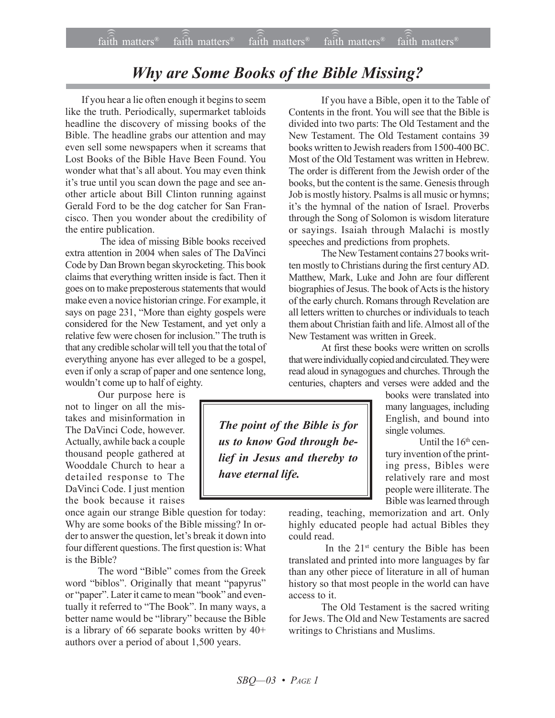## *Why are Some Books of the Bible Missing?*

If you hear a lie often enough it begins to seem like the truth. Periodically, supermarket tabloids headline the discovery of missing books of the Bible. The headline grabs our attention and may even sell some newspapers when it screams that Lost Books of the Bible Have Been Found. You wonder what that's all about. You may even think it's true until you scan down the page and see another article about Bill Clinton running against Gerald Ford to be the dog catcher for San Francisco. Then you wonder about the credibility of the entire publication.

 The idea of missing Bible books received extra attention in 2004 when sales of The DaVinci Code by Dan Brown began skyrocketing. This book claims that everything written inside is fact. Then it goes on to make preposterous statements that would make even a novice historian cringe. For example, it says on page 231, "More than eighty gospels were considered for the New Testament, and yet only a relative few were chosen for inclusion." The truth is that any credible scholar will tell you that the total of everything anyone has ever alleged to be a gospel, even if only a scrap of paper and one sentence long, wouldn't come up to half of eighty.

Our purpose here is not to linger on all the mistakes and misinformation in The DaVinci Code, however. Actually, awhile back a couple thousand people gathered at Wooddale Church to hear a detailed response to The DaVinci Code. I just mention the book because it raises

once again our strange Bible question for today: Why are some books of the Bible missing? In order to answer the question, let's break it down into four different questions. The first question is: What is the Bible?

The word "Bible" comes from the Greek word "biblos". Originally that meant "papyrus" or "paper". Later it came to mean "book" and eventually it referred to "The Book". In many ways, a better name would be "library" because the Bible is a library of 66 separate books written by 40+ authors over a period of about 1,500 years.

If you have a Bible, open it to the Table of Contents in the front. You will see that the Bible is divided into two parts: The Old Testament and the New Testament. The Old Testament contains 39 books written to Jewish readers from 1500-400 BC. Most of the Old Testament was written in Hebrew. The order is different from the Jewish order of the books, but the content is the same. Genesis through Job is mostly history. Psalms is all music or hymns; it's the hymnal of the nation of Israel. Proverbs through the Song of Solomon is wisdom literature or sayings. Isaiah through Malachi is mostly speeches and predictions from prophets.

The New Testament contains 27 books written mostly to Christians during the first century AD. Matthew, Mark, Luke and John are four different biographies of Jesus. The book of Acts is the history of the early church. Romans through Revelation are all letters written to churches or individuals to teach them about Christian faith and life. Almost all of the New Testament was written in Greek.

At first these books were written on scrolls that were individually copied and circulated. They were read aloud in synagogues and churches. Through the centuries, chapters and verses were added and the

*The point of the Bible is for us to know God through belief in Jesus and thereby to have eternal life.*

books were translated into many languages, including English, and bound into single volumes.

Until the  $16<sup>th</sup>$  century invention of the printing press, Bibles were relatively rare and most people were illiterate. The Bible was learned through

reading, teaching, memorization and art. Only highly educated people had actual Bibles they could read.

In the 21<sup>st</sup> century the Bible has been translated and printed into more languages by far than any other piece of literature in all of human history so that most people in the world can have access to it.

The Old Testament is the sacred writing for Jews. The Old and New Testaments are sacred writings to Christians and Muslims.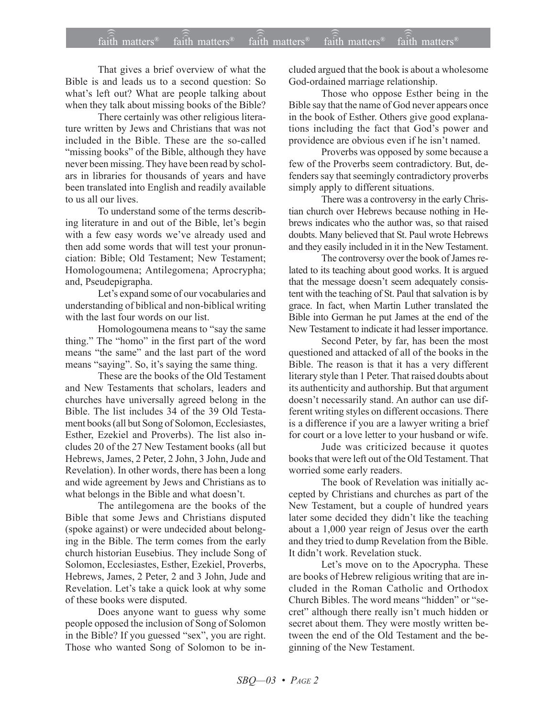## $fa\hat{\hat{i}}th$  matters<sup>®</sup> faith matters<sup>®</sup> faith matters<sup>®</sup> faith matters<sup>®</sup>  $faith$  matters<sup>®</sup>

That gives a brief overview of what the Bible is and leads us to a second question: So what's left out? What are people talking about when they talk about missing books of the Bible?

There certainly was other religious literature written by Jews and Christians that was not included in the Bible. These are the so-called "missing books" of the Bible, although they have never been missing. They have been read by scholars in libraries for thousands of years and have been translated into English and readily available to us all our lives

To understand some of the terms describing literature in and out of the Bible, let's begin with a few easy words we've already used and then add some words that will test your pronunciation: Bible; Old Testament; New Testament; Homologoumena; Antilegomena; Aprocrypha; and, Pseudepigrapha.

Let's expand some of our vocabularies and understanding of biblical and non-biblical writing with the last four words on our list.

Homologoumena means to "say the same thing." The "homo" in the first part of the word means "the same" and the last part of the word means "saying". So, it's saying the same thing.

These are the books of the Old Testament and New Testaments that scholars, leaders and churches have universally agreed belong in the Bible. The list includes 34 of the 39 Old Testament books (all but Song of Solomon, Ecclesiastes, Esther, Ezekiel and Proverbs). The list also includes 20 of the 27 New Testament books (all but Hebrews, James, 2 Peter, 2 John, 3 John, Jude and Revelation). In other words, there has been a long and wide agreement by Jews and Christians as to what belongs in the Bible and what doesn't.

The antilegomena are the books of the Bible that some Jews and Christians disputed (spoke against) or were undecided about belonging in the Bible. The term comes from the early church historian Eusebius. They include Song of Solomon, Ecclesiastes, Esther, Ezekiel, Proverbs, Hebrews, James, 2 Peter, 2 and 3 John, Jude and Revelation. Let's take a quick look at why some of these books were disputed.

Does anyone want to guess why some people opposed the inclusion of Song of Solomon in the Bible? If you guessed "sex", you are right. Those who wanted Song of Solomon to be included argued that the book is about a wholesome God-ordained marriage relationship.

Those who oppose Esther being in the Bible say that the name of God never appears once in the book of Esther. Others give good explanations including the fact that God's power and providence are obvious even if he isn't named.

Proverbs was opposed by some because a few of the Proverbs seem contradictory. But, defenders say that seemingly contradictory proverbs simply apply to different situations.

There was a controversy in the early Christian church over Hebrews because nothing in Hebrews indicates who the author was, so that raised doubts. Many believed that St. Paul wrote Hebrews and they easily included in it in the New Testament.

The controversy over the book of James related to its teaching about good works. It is argued that the message doesn't seem adequately consistent with the teaching of St. Paul that salvation is by grace. In fact, when Martin Luther translated the Bible into German he put James at the end of the New Testament to indicate it had lesser importance.

Second Peter, by far, has been the most questioned and attacked of all of the books in the Bible. The reason is that it has a very different literary style than 1 Peter. That raised doubts about its authenticity and authorship. But that argument doesn't necessarily stand. An author can use different writing styles on different occasions. There is a difference if you are a lawyer writing a brief for court or a love letter to your husband or wife.

Jude was criticized because it quotes books that were left out of the Old Testament. That worried some early readers.

The book of Revelation was initially accepted by Christians and churches as part of the New Testament, but a couple of hundred years later some decided they didn't like the teaching about a 1,000 year reign of Jesus over the earth and they tried to dump Revelation from the Bible. It didn't work. Revelation stuck.

Let's move on to the Apocrypha. These are books of Hebrew religious writing that are included in the Roman Catholic and Orthodox Church Bibles. The word means "hidden" or "secret" although there really isn't much hidden or secret about them. They were mostly written between the end of the Old Testament and the beginning of the New Testament.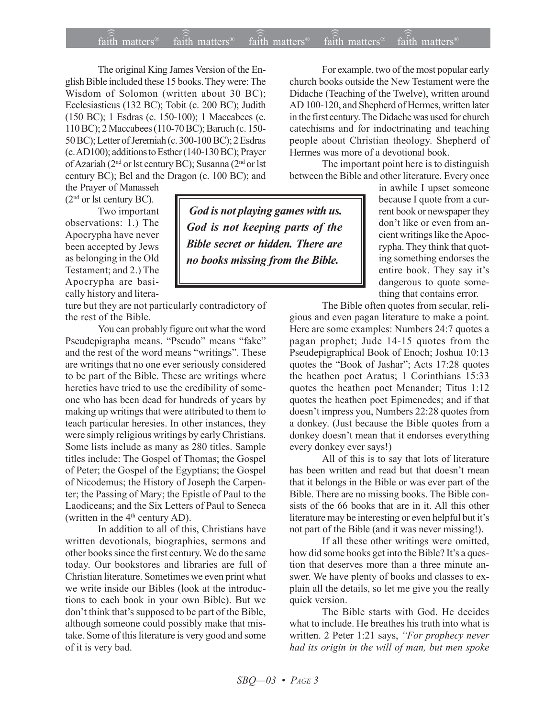The original King James Version of the English Bible included these 15 books. They were: The Wisdom of Solomon (written about 30 BC); Ecclesiasticus (132 BC); Tobit (c. 200 BC); Judith (150 BC); 1 Esdras (c. 150-100); 1 Maccabees (c. 110 BC); 2 Maccabees (110-70 BC); Baruch (c. 150- 50 BC); Letter of Jeremiah (c. 300-100 BC); 2 Esdras (c. AD100); additions to Esther (140-130 BC); Prayer of Azariah (2nd or lst century BC); Susanna (2nd or lst century BC); Bel and the Dragon (c. 100 BC); and the Prayer of Manasseh

(2nd or lst century BC).

Two important observations: 1.) The Apocrypha have never been accepted by Jews as belonging in the Old Testament; and 2.) The Apocrypha are basically history and litera-

ture but they are not particularly contradictory of the rest of the Bible.

You can probably figure out what the word Pseudepigrapha means. "Pseudo" means "fake" and the rest of the word means "writings". These are writings that no one ever seriously considered to be part of the Bible. These are writings where heretics have tried to use the credibility of someone who has been dead for hundreds of years by making up writings that were attributed to them to teach particular heresies. In other instances, they were simply religious writings by early Christians. Some lists include as many as 280 titles. Sample titles include: The Gospel of Thomas; the Gospel of Peter; the Gospel of the Egyptians; the Gospel of Nicodemus; the History of Joseph the Carpenter; the Passing of Mary; the Epistle of Paul to the Laodiceans; and the Six Letters of Paul to Seneca (written in the  $4<sup>th</sup>$  century AD).

In addition to all of this, Christians have written devotionals, biographies, sermons and other books since the first century. We do the same today. Our bookstores and libraries are full of Christian literature. Sometimes we even print what we write inside our Bibles (look at the introductions to each book in your own Bible). But we don't think that's supposed to be part of the Bible, although someone could possibly make that mistake. Some of this literature is very good and some of it is very bad.

For example, two of the most popular early church books outside the New Testament were the Didache (Teaching of the Twelve), written around AD 100-120, and Shepherd of Hermes, written later in the first century. The Didache was used for church catechisms and for indoctrinating and teaching people about Christian theology. Shepherd of Hermes was more of a devotional book.

The important point here is to distinguish between the Bible and other literature. Every once

 *God is not playing games with us. God is not keeping parts of the Bible secret or hidden. There are no books missing from the Bible.*

in awhile I upset someone because I quote from a current book or newspaper they don't like or even from ancient writings like the Apocrypha. They think that quoting something endorses the entire book. They say it's dangerous to quote something that contains error.

The Bible often quotes from secular, reli-

gious and even pagan literature to make a point. Here are some examples: Numbers 24:7 quotes a pagan prophet; Jude 14-15 quotes from the Pseudepigraphical Book of Enoch; Joshua 10:13 quotes the "Book of Jashar"; Acts 17:28 quotes the heathen poet Aratus; 1 Corinthians 15:33 quotes the heathen poet Menander; Titus 1:12 quotes the heathen poet Epimenedes; and if that doesn't impress you, Numbers 22:28 quotes from a donkey. (Just because the Bible quotes from a donkey doesn't mean that it endorses everything every donkey ever says!)

All of this is to say that lots of literature has been written and read but that doesn't mean that it belongs in the Bible or was ever part of the Bible. There are no missing books. The Bible consists of the 66 books that are in it. All this other literature may be interesting or even helpful but it's not part of the Bible (and it was never missing!).

If all these other writings were omitted, how did some books get into the Bible? It's a question that deserves more than a three minute answer. We have plenty of books and classes to explain all the details, so let me give you the really quick version.

The Bible starts with God. He decides what to include. He breathes his truth into what is written. 2 Peter 1:21 says, "For prophecy never *had its origin in the will of man, but men spoke*